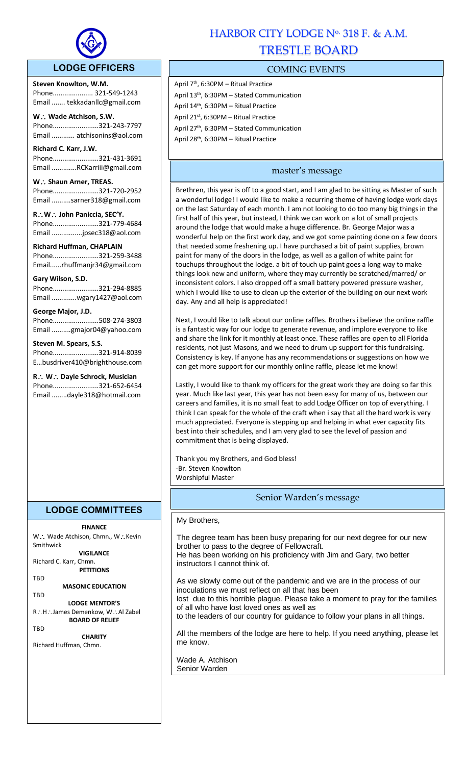

### **LODGE OFFICERS**

**Steven Knowlton, W.M.** Phone..................... 321-549-1243 Email ....... tekkadanllc@gmail.com

l,

**W Wade Atchison, S.W.** Phone........................321-243-7797 Email ............ atchisonins@aol.com

**Richard C. Karr, J.W.**  Phone........................321-431-3691 Email .............RCKarriii@gmail.com

W.: Shaun Arner, TREAS. Phone........................321-720-2952 Email ..........sarner318@gmail.com

**RW John Paniccia, SEC'Y.** Phone........................321-779-4684 Email ................jpsec318@aol.com

**Richard Huffman, CHAPLAIN** Phone........................321-259-3488 Email......rhuffmanjr34@gmail.com

**Gary Wilson, S.D.** 

Phone........................321-294-8885 Email .............wgary1427@aol.com

#### **George Major, J.D.**

Phone........................508-274-3803 Email ..........gmajor04@yahoo.com

**Steven M. Spears, S.S.**

Phone........................321-914-8039 E…busdriver410@brighthouse.com

**R** ∴ **W** ∴ Dayle Schrock, Musician Phone........................321-652-6454 Email ........dayle318@hotmail.com

# **LODGE COMMITTEES**

### **FINANCE**

W∴ Wade Atchison, Chmn., W∴Kevin Smithwick

**VIGILANCE**

Richard C. Karr, Chmn. **PETITIONS**

TBD

**MASONIC EDUCATION** TBD

**LODGE MENTOR'S**

R∴H∴James Demenkow, W∴Al Zabel **BOARD OF RELIEF**

**TRD** 

**CHARITY** Richard Huffman, Chmn.

# HARBOR CITY LODGE No. 318 F. & A.M. TRESTLE BOARD

## COMING EVENTS

April 7th, 6:30PM – Ritual Practice April 13th, 6:30PM – Stated Communication April 14th, 6:30PM – Ritual Practice April 21st, 6:30PM – Ritual Practice April 27<sup>th</sup>, 6:30PM – Stated Communication April 28th, 6:30PM – Ritual Practice

## master's message

Brethren, this year is off to a good start, and I am glad to be sitting as Master of such a wonderful lodge! I would like to make a recurring theme of having lodge work days on the last Saturday of each month. I am not looking to do too many big things in the first half of this year, but instead, I think we can work on a lot of small projects around the lodge that would make a huge difference. Br. George Major was a wonderful help on the first work day, and we got some painting done on a few doors that needed some freshening up. I have purchased a bit of paint supplies, brown paint for many of the doors in the lodge, as well as a gallon of white paint for touchups throughout the lodge. a bit of touch up paint goes a long way to make things look new and uniform, where they may currently be scratched/marred/ or inconsistent colors. I also dropped off a small battery powered pressure washer, which I would like to use to clean up the exterior of the building on our next work day. Any and all help is appreciated!

Next, I would like to talk about our online raffles. Brothers i believe the online raffle is a fantastic way for our lodge to generate revenue, and implore everyone to like and share the link for it monthly at least once. These raffles are open to all Florida residents, not just Masons, and we need to drum up support for this fundraising. Consistency is key. If anyone has any recommendations or suggestions on how we can get more support for our monthly online raffle, please let me know!

Lastly, I would like to thank my officers for the great work they are doing so far this year. Much like last year, this year has not been easy for many of us, between our careers and families, it is no small feat to add Lodge Officer on top of everything. I think I can speak for the whole of the craft when i say that all the hard work is very much appreciated. Everyone is stepping up and helping in what ever capacity fits best into their schedules, and I am very glad to see the level of passion and commitment that is being displayed.

Thank you my Brothers, and God bless! -Br. Steven Knowlton Worshipful Master

# Senior Warden's message

My Brothers,

The degree team has been busy preparing for our next degree for our new brother to pass to the degree of Fellowcraft. He has been working on his proficiency with Jim and Gary, two better instructors I cannot think of. As we slowly come out of the pandemic and we are in the process of our inoculations we must reflect on all that has been lost due to this horrible plague. Please take a moment to pray for the families of all who have lost loved ones as well as to the leaders of our country for guidance to follow your plans in all things. All the members of the lodge are here to help. If you need anything, please let me know.

Wade A. Atchison Senior Warden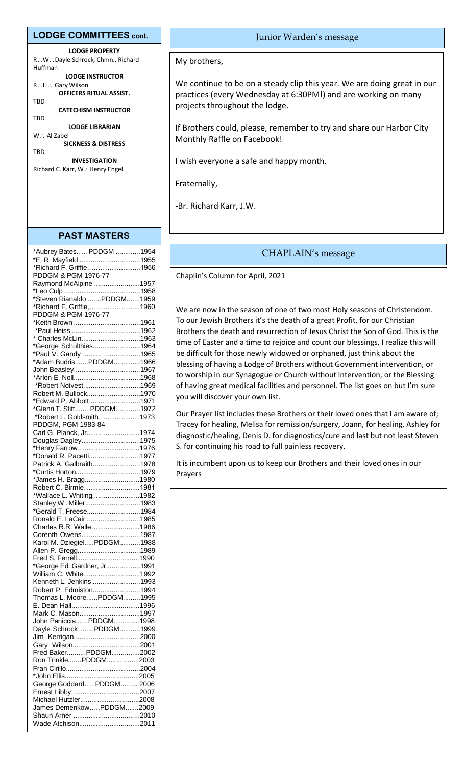#### **LODGE COMMITTEES cont.**

**LODGE PROPERTY** R∴W∴Dayle Schrock, Chmn., Richard Huffman **LODGE INSTRUCTOR** R∴H∴ Gary Wilson **OFFICERS RITUAL ASSIST.** TBD **CATECHISM INSTRUCTOR TBD LODGE LIBRARIAN**  $W$   $\therefore$  Al Zabel

**SICKNESS & DISTRESS TRD** 

**INVESTIGATION** Richard C. Karr, W∴Henry Engel

#### **PAST MASTERS**

| *Aubrey Bates PDDGM 1954    |  |
|-----------------------------|--|
| *E. R. Mayfield 1955        |  |
| *Richard F. Griffie,1956    |  |
| PDDGM & PGM 1976-77         |  |
| Raymond McAlpine 1957       |  |
|                             |  |
| *Steven Rianaldo PDDGM1959  |  |
| *Richard F. Griffie,1960    |  |
| PDDGM & PGM 1976-77         |  |
| *Keith Brown 1961           |  |
|                             |  |
| * Charles McLin1963         |  |
| *George Schulthies1964      |  |
| *Paul V. Gandy  1965        |  |
| *Adam Budris PDDGM1966      |  |
|                             |  |
| John Beasley1967            |  |
|                             |  |
| *Robert Notvest1969         |  |
| Robert M. Bullock1970       |  |
| *Edward P. Abbott1971       |  |
| *Glenn T. StittPDDGM1972    |  |
| *Robert L. Goldsmith1973    |  |
| PDDGM, PGM 1983-84          |  |
| Carl G. Planck, Jr1974      |  |
| Douglas Dagley1975          |  |
| *Henry Farrow1976           |  |
| *Donald R. Pacetti1977      |  |
| Patrick A. Galbraith1978    |  |
|                             |  |
| *James H. Bragg1980         |  |
| Robert C. Birmie1981        |  |
| *Wallace L. Whiting1982     |  |
| Stanley W. Miller1983       |  |
| *Gerald T. Freese1984       |  |
| Ronald E. LaCair1985        |  |
| Charles R.R. Walle1986      |  |
| Corenth Owens1987           |  |
| Karol M. DziegielPDDGM1988  |  |
| Allen P. Gregg1989          |  |
|                             |  |
| *George Ed. Gardner, Jr1991 |  |
| William C. White1992        |  |
| Kenneth L. Jenkins 1993     |  |
| Robert P. Edmiston1994      |  |
| Thomas L. MoorePDDGM1995    |  |
|                             |  |
| Mark C. Mason1997           |  |
| John PanicciaPDDGM1998      |  |
| Dayle SchrockPDDGM1999      |  |
|                             |  |
|                             |  |
| Fred BakerPDDGM2002         |  |
|                             |  |
| Ron TrinklePDDGM2003        |  |
|                             |  |
|                             |  |
| George GoddardPDDGM 2006    |  |
|                             |  |
| Michael Hutzler2008         |  |
| James DemenkowPDDGM2009     |  |
|                             |  |
| Wade Atchison2011           |  |

#### Junior Warden's message

My brothers,

We continue to be on a steady clip this year. We are doing great in our practices (every Wednesday at 6:30PM!) and are working on many projects throughout the lodge.

If Brothers could, please, remember to try and share our Harbor City Monthly Raffle on Facebook!

I wish everyone a safe and happy month.

Fraternally,

-Br. Richard Karr, J.W.

#### CHAPLAIN's message

Chaplin's Column for April, 2021

We are now in the season of one of two most Holy seasons of Christendom. To our Jewish Brothers it's the death of a great Profit, for our Christian Brothers the death and resurrection of Jesus Christ the Son of God. This is the time of Easter and a time to rejoice and count our blessings, I realize this will be difficult for those newly widowed or orphaned, just think about the blessing of having a Lodge of Brothers without Government intervention, or to worship in our Synagogue or Church without intervention, or the Blessing of having great medical facilities and personnel. The list goes on but I'm sure you will discover your own list.

Our Prayer list includes these Brothers or their loved ones that I am aware of; Tracey for healing, Melisa for remission/surgery, Joann, for healing, Ashley for diagnostic/healing, Denis D. for diagnostics/cure and last but not least Steven S. for continuing his road to full painless recovery.

It is incumbent upon us to keep our Brothers and their loved ones in our Prayers